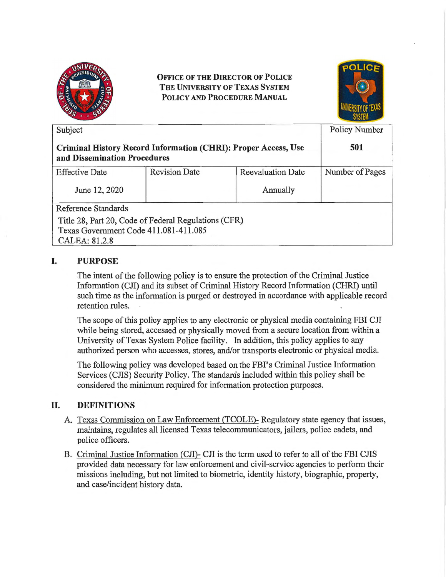

**OFFICE OF THE DIRECTOR OF POLICE THE UNIVERSITY OF TEXAS SYSTEM POLICY AND PROCEDURE MANUAL** 



| Subject<br>Criminal History Record Information (CHRI): Proper Access, Use<br>and Dissemination Procedures |                                                      |          | <b>Policy Number</b><br>501 |
|-----------------------------------------------------------------------------------------------------------|------------------------------------------------------|----------|-----------------------------|
|                                                                                                           |                                                      |          |                             |
| June 12, 2020                                                                                             |                                                      | Annually |                             |
| Reference Standards                                                                                       |                                                      |          |                             |
|                                                                                                           | Title 28, Part 20, Code of Federal Regulations (CFR) |          |                             |
| Texas Government Code 411.081-411.085                                                                     |                                                      |          |                             |
| CALEA: 81.2.8                                                                                             |                                                      |          |                             |

## I. **PURPOSE**

The intent of the following policy is to ensure the protection of the Criminal Justice Information (CJI) and its subset of Criminal History Record Information (CHRI) until such time as the information is purged or destroyed in accordance with applicable record retention rules.

The scope of this policy applies to any electronic or physical media containing FBI CJI while being stored, accessed or physically moved from a secure location from within a University of Texas System Police facility. In addition, this policy applies to any authorized person who accesses, stores, and/or transports electronic or physical media.

The following policy was developed based on the FBI's Criminal Justice Information Services (CHS) Security Policy. The standards included within this policy shall be considered the minimum required for information protection purposes.

## II. **DEFINITIONS**

- A. Texas Commission on Law Enforcement (TCOLE)- Regulatory state agency that issues, maintains, regulates all licensed Texas telecommunicators, jailers, police cadets, and police officers.
- B. Criminal Justice Information (CJI)- CJI is the term used to refer to all of the FBI CJIS provided data necessary for law enforcement and civil-service agencies to perform their missions including, but not limited to biometric, identity history, biographic, property, and case/incident history data.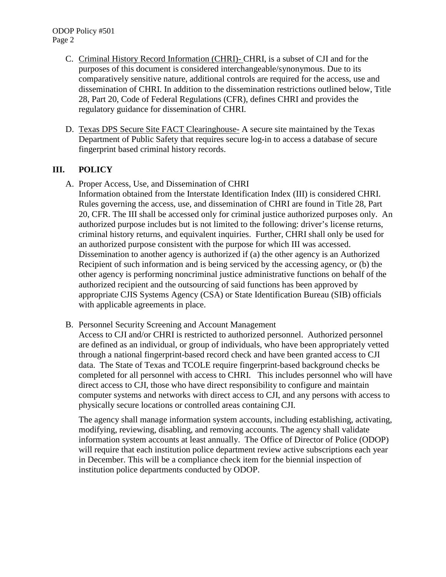- C. Criminal History Record Information (CHRI)- CHRI, is a subset of CJI and for the purposes of this document is considered interchangeable/synonymous. Due to its comparatively sensitive nature, additional controls are required for the access, use and dissemination of CHRI. In addition to the dissemination restrictions outlined below, Title 28, Part 20, Code of Federal Regulations (CFR), defines CHRI and provides the regulatory guidance for dissemination of CHRI.
- D. Texas DPS Secure Site FACT Clearinghouse- A secure site maintained by the Texas Department of Public Safety that requires secure log-in to access a database of secure fingerprint based criminal history records.

## **III. POLICY**

A. Proper Access, Use, and Dissemination of CHRI

Information obtained from the Interstate Identification Index (III) is considered CHRI. Rules governing the access, use, and dissemination of CHRI are found in Title 28, Part 20, CFR. The III shall be accessed only for criminal justice authorized purposes only. An authorized purpose includes but is not limited to the following: driver's license returns, criminal history returns, and equivalent inquiries. Further, CHRI shall only be used for an authorized purpose consistent with the purpose for which III was accessed. Dissemination to another agency is authorized if (a) the other agency is an Authorized Recipient of such information and is being serviced by the accessing agency, or (b) the other agency is performing noncriminal justice administrative functions on behalf of the authorized recipient and the outsourcing of said functions has been approved by appropriate CJIS Systems Agency (CSA) or State Identification Bureau (SIB) officials with applicable agreements in place.

B. Personnel Security Screening and Account Management

Access to CJI and/or CHRI is restricted to authorized personnel. Authorized personnel are defined as an individual, or group of individuals, who have been appropriately vetted through a national fingerprint-based record check and have been granted access to CJI data. The State of Texas and TCOLE require fingerprint-based background checks be completed for all personnel with access to CHRI. This includes personnel who will have direct access to CJI, those who have direct responsibility to configure and maintain computer systems and networks with direct access to CJI, and any persons with access to physically secure locations or controlled areas containing CJI.

The agency shall manage information system accounts, including establishing, activating, modifying, reviewing, disabling, and removing accounts. The agency shall validate information system accounts at least annually. The Office of Director of Police (ODOP) will require that each institution police department review active subscriptions each year in December. This will be a compliance check item for the biennial inspection of institution police departments conducted by ODOP.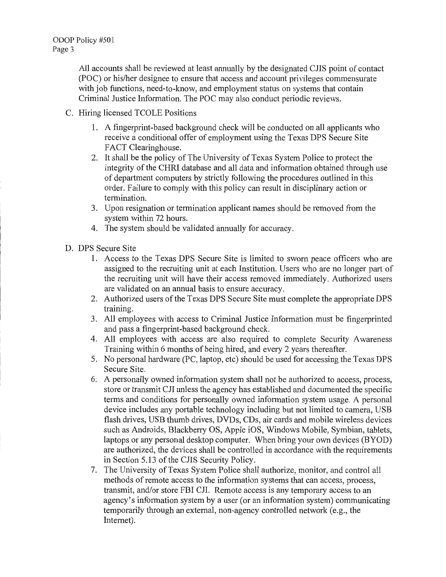All accounts shall be reviewed at least annually by the designated CJIS point of contact (POC) or his/her designee to ensure that access and account privileges commensurate with job functions, need-to-know, and employment status on systems that contain Criminal Justice Information. The POC may also conduct periodic reviews.

- C. Hiring licensed TCOLE Positions
	- I. A fingerprint-based background check will be conducted on all applicants who receive a conditional offer of employment using the Texas DPS Secure Site FACT Clearinghouse.
	- 2. It shall be the policy of The University of Texas System Police to protect the integrity of the CHRI database and all data and information obtained through use of department computers by strictly following the procedures outlined in this order. Failure to comply with this policy can result in disciplinary action or termination.
	- 3. Upon resignation or termination applicant names should be removed from the system within 72 hours.
	- 4. The system should be validated annually for accuracy.
- D. DPS Secure Site
	- I. Access to the Texas DPS Secure Site is limited to sworn peace officers who are assigned to the recruiting unit at each Institution. Users who are no longer part of the recruiting unit will have their access removed immediately. Authorized users are validated on an annual basis to ensure accuracy.
	- 2. Authorized users of the Texas DPS Secure Site must complete the appropriate DPS training.
	- 3. All employees with access to Criminal Justice Information must be fingerprinted and pass a fingerprint-based background check.
	- 4. All employees with access are also required to complete Security Awareness Training within 6 months of being hired, and every 2 years thereafter.
	- 5. No personal hardware (PC, laptop, etc) should be used for accessing the Texas DPS Secure Site.
	- 6. A personally owned information system shall not be authorized to access, process, store or transmit CJI unless the agency has established and documented the specific terms and conditions for personally owned information system usage. A personal device includes any portable technology including but not limited to camera, USB flash drives, USB thumb drives, DVDs, CDs, air cards and mobile wireless devices such as Androids, Blackbeny OS, Apple iOS, Windows Mobile, Symbian, tablets, laptops or any personal desktop computer. When bring your own devices (BYOD) are authorized, the devices shall be controlled in accordance with the requirements in Section 5.13 of the CJIS Security Policy.
	- 7. The University of Texas System Police shall authorize, monitor, and control all methods of remote access to the information systems that can access, process, transmit, and/or store FBI CJI. Remote access is any temporary access to an agency's information system by a user (or an information system) communicating temporarily through an external, non-agency controlled network (e.g., the Internet).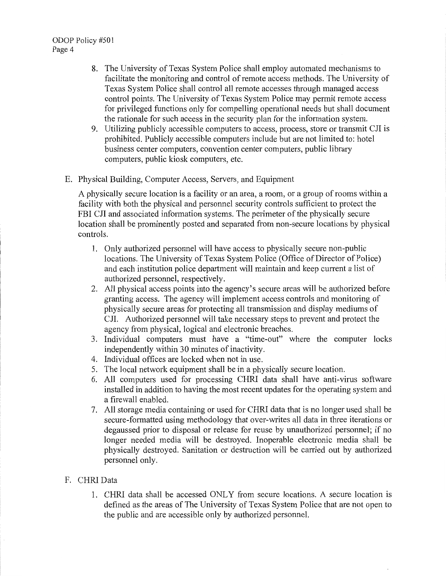- 8. The University of Texas System Police shall employ automated mechanisms to facilitate the monitoring and control of remote access methods. The University of Texas System Police shall control all remote accesses through managed access control points. The University of Texas System Police may permit remote access for privileged functions only for compelling operational needs but shall document the rationale for such access in the security plan for the information system.
- 9. Utilizing publicly accessible computers to access, process, store or transmit CJI is prohibited. Publicly accessible computers include but are not limited to: hotel business center computers, convention center computers, public library computers, public kiosk computers, etc.
- E. Physical Building, Computer Access, Servers, and Equipment

A physically secure location is a facility or an area, a room, or a group of rooms within a facility with both the physical and personnel security controls sufficient to protect the FBI CJI and associated information systems. The perimeter of the physically secure location shall be prominently posted and separated from non-secure locations by physical controls.

- 1. Only authorized personnel will have access to physically secure non-public locations. The University of Texas System Police (Office of Director of Police) and each institution police department will maintain and keep current a list of authorized personnel, respectively.
- 2. All physical access points into the agency's secure areas will be authorized before granting access. The agency will implement access controls and monitoring of physically secure areas for protecting all transmission and display mediums of CJI. Authorized personnel will take necessary steps to prevent and protect the agency from physical, logical and electronic breaches.
- 3. Individual computers must have a "time-out" where the computer locks independently within 30 minutes of inactivity.
- 4. Individual offices are locked when not in use.
- 5. The local network equipment shall be in a physically secure location.
- 6. All computers used for processing CHRJ data shall have anti-virus software installed in addition to having the most recent updates for the operating system and a firewall enabled.
- 7. All storage media containing or used for CHRI data that is no longer used shall be secure-formatted using methodology that over-writes all data in three iterations or degaussed prior to disposal or release for reuse by unauthorized personnel; if no longer needed media will be destroyed. Inoperable electronic media shall be physically destroyed. Sanitation or destruction will be carried out by authorized personnel only.

## F. CHRI Data

1. CHRJ data shall be accessed ONLY from secure locations. A secure location is defined as the areas of The University of Texas System Police that are not open to the public and are accessible only by authorized personnel.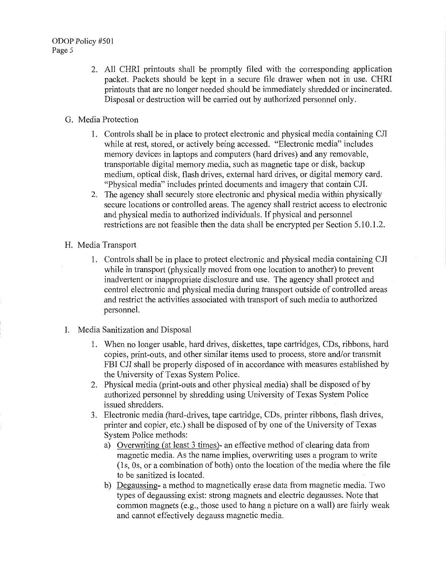- 2. All CHRI printouts shall be promptly filed with the corresponding application packet. Packets should be kept in a secure file drawer when not in use. CHRI printouts that are no longer needed should be immediately shredded or incinerated. Disposal or destruction will be carried out by authorized personnel only.
- G. Media Protection
	- 1. Controls shall be in place to protect electronic and physical media containing CJI while at rest, stored, or actively being accessed. "Electronic media" includes memory devices in laptops and computers (hard drives) and any removable, transportable digital memory media, such as magnetic tape or disk, backup medium, optical disk, flash drives, external hard drives, or digital memory card. "Physical media" includes printed documents and imagery that contain CJI.
	- 2. The agency shall securely store electronic and physical media within physically secure locations or controlled areas. The agency shall restrict access to electronic and physical media to authorized individuals. If physical and personnel restrictions are not feasible then the data shall be encrypted per Section 5.10.1.2.
- H. Media Transport
	- 1. Controls shall be in place to protect electronic and physical media containing CJI while in transport (physically moved from one location to another) to prevent inadvertent or inappropriate disclosure and use. The agency shall protect and control electronic and physical media during transport outside of controlled areas and restrict the activities associated with transport of such media to authorized personnel.
- I. Media Sanitization and Disposal
	- 1. When no longer usable, hard drives, diskettes, tape cmiridges, CDs, ribbons, hard copies, print-outs, and other similar items used to process, store and/or transmit FBI CJI shall be properly disposed of in accordance with measures established by the University of Texas System Police.
	- 2. Physical media (print-outs and other physical media) shall be disposed of by authorized personnel by shredding using University of Texas System Police issued shredders.
	- 3. Electronic media (hard-drives, tape cartridge, CDs, printer ribbons, flash drives, printer and copier, etc.) shall be disposed of by one of the University of Texas System Police methods:
		- a) Overwriting (at least 3 times)- an effective method of clearing data from magnetic media. As the name implies, overwriting uses a program to write (1 s, Os, or a combination of both) onto the location of the media where the file to be sanitized is located.
		- b) Degaussing- a method to magnetically erase data from magnetic media. Two types of degaussing exist: strong magnets and electric degausses. Note that common magnets (e.g., those used to hang a picture on a wall) are fairly weak and cannot effectively degauss magnetic media.